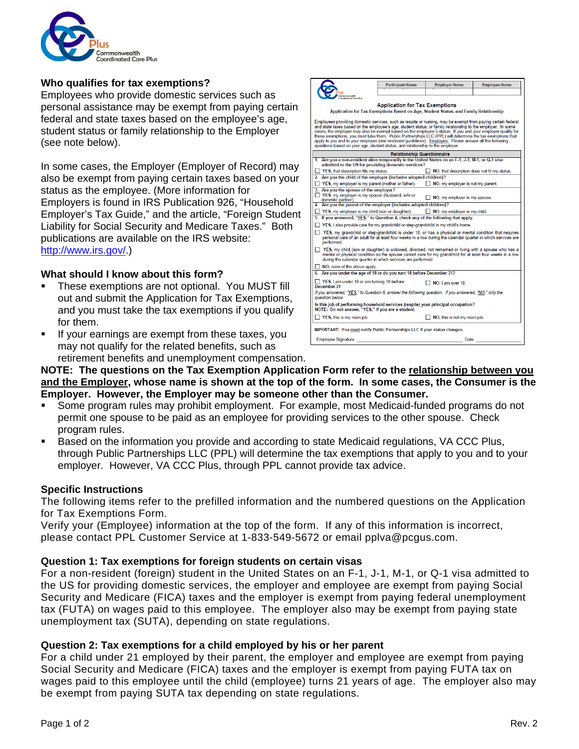

### **Who qualifies for tax exemptions?**

Employees who provide domestic services such as personal assistance may be exempt from paying certain federal and state taxes based on the employee's age, student status or family relationship to the Employer (see note below).

In some cases, the Employer (Employer of Record) may also be exempt from paying certain taxes based on your status as the employee. (More information for Employers is found in IRS Publication 926, "Household Employer's Tax Guide," and the article, "Foreign Student Liability for Social Security and Medicare Taxes." Both publications are available on the IRS website: [http://www.irs.gov/.](http://www.irs.gov/))

#### **What should I know about this form?**

- **These exemptions are not optional. You MUST fill** out and submit the Application for Tax Exemptions, and you must take the tax exemptions if you qualify for them.
- If your earnings are exempt from these taxes, you may not qualify for the related benefits, such as retirement benefits and unemployment compensation.

| mmonwealth<br>directed Corp. Dive<br><b>Application for Tax Exemptions</b><br>Application for Tax Exemptions Based on Age, Student Status, and Family Relationship<br>Employees providing domestic services, such as respite or nursing, may be exempt from paying certain federal<br>and state taxes based on the employee's age, student status, or family relationship to the employer. In some<br>cases, the employer may also be exempt based on the employee's status. If you and your employer qualify for<br>these exemptions, you must take them. Public Partnerships LLC (PPL) will determine the tax exemptions that<br>apply to you and to your employer (see enclosed quidelines). Employee: Please answer all the following<br>questions based on your age, student status, and relationship to the employer:<br><b>Relationship Questionnaire</b><br>1. Are you a non-resident alien temporarily in the United States on an F-1, J-1, M-1, or Q-1 yisa<br>admitted to the US for providing domestic services?<br>$\Box$ YES, that description fits my status.<br>$\Box$ NO, that description does not fit my status.<br>2. Are you the child of the employer (includes adopted children)?<br>YES, my employer is my parent (mother or father).<br>NO, my employer is not my parent.<br>3. Are you the spouse of the employer?<br>YES, my employer is my spouse (husband, wife or<br>NO, my employer is my spouse.<br>domestic partner).<br>4. Are you the parent of the employer (includes adopted children)?<br>YES, my employer is my child (son or daughter).<br>NO, my employer is my child.<br>5. If you answered, "YES," to Question 4, check any of the following that apply.<br>$\Box$ YES, I also provide care for my grandchild or step-grandchild in my child's home.<br>YES, my grandchild or step-grandchild is under 18, or has a physical or mental condition that requires<br>personal care of an adult for at least four weeks in a row during the calendar quarter in which services are<br>performed.<br>YES, my child (son or daughter) is widowed, divorced, not remarried or living with a spouse who has a<br>mental or physical condition so the spouse cannot care for my grandchild for at least four weeks in a row<br>during the calendar quarter in which services are performed.<br>$\Box$ NO, none of the above apply.<br>6. Are you under the age of 18 or do you turn 18 before December 31?<br>YES, I am under 18 or am turning 18 before<br>MO. I am over 18.<br>December 31<br>If you answered, "YES," to Question 6, answer the following question. If you answered, "NO," skip the<br>question below.<br>Is this job of performing household services (respite) your principal occupation?<br>NOTE: Do not answer, "YES," if you are a student.<br>YES, this is my main job.<br>NO, this is not my main job.<br>IMPORTANT: You must notify Public Partnerships LLC if your status changes.<br>Employee Signature<br>Date |  | <b>Participant Name</b> | <b>Employer Name</b> | <b>Employee Name</b> |  |  |
|-------------------------------------------------------------------------------------------------------------------------------------------------------------------------------------------------------------------------------------------------------------------------------------------------------------------------------------------------------------------------------------------------------------------------------------------------------------------------------------------------------------------------------------------------------------------------------------------------------------------------------------------------------------------------------------------------------------------------------------------------------------------------------------------------------------------------------------------------------------------------------------------------------------------------------------------------------------------------------------------------------------------------------------------------------------------------------------------------------------------------------------------------------------------------------------------------------------------------------------------------------------------------------------------------------------------------------------------------------------------------------------------------------------------------------------------------------------------------------------------------------------------------------------------------------------------------------------------------------------------------------------------------------------------------------------------------------------------------------------------------------------------------------------------------------------------------------------------------------------------------------------------------------------------------------------------------------------------------------------------------------------------------------------------------------------------------------------------------------------------------------------------------------------------------------------------------------------------------------------------------------------------------------------------------------------------------------------------------------------------------------------------------------------------------------------------------------------------------------------------------------------------------------------------------------------------------------------------------------------------------------------------------------------------------------------------------------------------------------------------------------------------------------------------------------------------------------------------------------------------------------------------------------------------------------------------------------------------------------|--|-------------------------|----------------------|----------------------|--|--|
|                                                                                                                                                                                                                                                                                                                                                                                                                                                                                                                                                                                                                                                                                                                                                                                                                                                                                                                                                                                                                                                                                                                                                                                                                                                                                                                                                                                                                                                                                                                                                                                                                                                                                                                                                                                                                                                                                                                                                                                                                                                                                                                                                                                                                                                                                                                                                                                                                                                                                                                                                                                                                                                                                                                                                                                                                                                                                                                                                                               |  |                         |                      |                      |  |  |
|                                                                                                                                                                                                                                                                                                                                                                                                                                                                                                                                                                                                                                                                                                                                                                                                                                                                                                                                                                                                                                                                                                                                                                                                                                                                                                                                                                                                                                                                                                                                                                                                                                                                                                                                                                                                                                                                                                                                                                                                                                                                                                                                                                                                                                                                                                                                                                                                                                                                                                                                                                                                                                                                                                                                                                                                                                                                                                                                                                               |  |                         |                      |                      |  |  |
|                                                                                                                                                                                                                                                                                                                                                                                                                                                                                                                                                                                                                                                                                                                                                                                                                                                                                                                                                                                                                                                                                                                                                                                                                                                                                                                                                                                                                                                                                                                                                                                                                                                                                                                                                                                                                                                                                                                                                                                                                                                                                                                                                                                                                                                                                                                                                                                                                                                                                                                                                                                                                                                                                                                                                                                                                                                                                                                                                                               |  |                         |                      |                      |  |  |
|                                                                                                                                                                                                                                                                                                                                                                                                                                                                                                                                                                                                                                                                                                                                                                                                                                                                                                                                                                                                                                                                                                                                                                                                                                                                                                                                                                                                                                                                                                                                                                                                                                                                                                                                                                                                                                                                                                                                                                                                                                                                                                                                                                                                                                                                                                                                                                                                                                                                                                                                                                                                                                                                                                                                                                                                                                                                                                                                                                               |  |                         |                      |                      |  |  |
|                                                                                                                                                                                                                                                                                                                                                                                                                                                                                                                                                                                                                                                                                                                                                                                                                                                                                                                                                                                                                                                                                                                                                                                                                                                                                                                                                                                                                                                                                                                                                                                                                                                                                                                                                                                                                                                                                                                                                                                                                                                                                                                                                                                                                                                                                                                                                                                                                                                                                                                                                                                                                                                                                                                                                                                                                                                                                                                                                                               |  |                         |                      |                      |  |  |
|                                                                                                                                                                                                                                                                                                                                                                                                                                                                                                                                                                                                                                                                                                                                                                                                                                                                                                                                                                                                                                                                                                                                                                                                                                                                                                                                                                                                                                                                                                                                                                                                                                                                                                                                                                                                                                                                                                                                                                                                                                                                                                                                                                                                                                                                                                                                                                                                                                                                                                                                                                                                                                                                                                                                                                                                                                                                                                                                                                               |  |                         |                      |                      |  |  |
|                                                                                                                                                                                                                                                                                                                                                                                                                                                                                                                                                                                                                                                                                                                                                                                                                                                                                                                                                                                                                                                                                                                                                                                                                                                                                                                                                                                                                                                                                                                                                                                                                                                                                                                                                                                                                                                                                                                                                                                                                                                                                                                                                                                                                                                                                                                                                                                                                                                                                                                                                                                                                                                                                                                                                                                                                                                                                                                                                                               |  |                         |                      |                      |  |  |
|                                                                                                                                                                                                                                                                                                                                                                                                                                                                                                                                                                                                                                                                                                                                                                                                                                                                                                                                                                                                                                                                                                                                                                                                                                                                                                                                                                                                                                                                                                                                                                                                                                                                                                                                                                                                                                                                                                                                                                                                                                                                                                                                                                                                                                                                                                                                                                                                                                                                                                                                                                                                                                                                                                                                                                                                                                                                                                                                                                               |  |                         |                      |                      |  |  |
|                                                                                                                                                                                                                                                                                                                                                                                                                                                                                                                                                                                                                                                                                                                                                                                                                                                                                                                                                                                                                                                                                                                                                                                                                                                                                                                                                                                                                                                                                                                                                                                                                                                                                                                                                                                                                                                                                                                                                                                                                                                                                                                                                                                                                                                                                                                                                                                                                                                                                                                                                                                                                                                                                                                                                                                                                                                                                                                                                                               |  |                         |                      |                      |  |  |
|                                                                                                                                                                                                                                                                                                                                                                                                                                                                                                                                                                                                                                                                                                                                                                                                                                                                                                                                                                                                                                                                                                                                                                                                                                                                                                                                                                                                                                                                                                                                                                                                                                                                                                                                                                                                                                                                                                                                                                                                                                                                                                                                                                                                                                                                                                                                                                                                                                                                                                                                                                                                                                                                                                                                                                                                                                                                                                                                                                               |  |                         |                      |                      |  |  |
|                                                                                                                                                                                                                                                                                                                                                                                                                                                                                                                                                                                                                                                                                                                                                                                                                                                                                                                                                                                                                                                                                                                                                                                                                                                                                                                                                                                                                                                                                                                                                                                                                                                                                                                                                                                                                                                                                                                                                                                                                                                                                                                                                                                                                                                                                                                                                                                                                                                                                                                                                                                                                                                                                                                                                                                                                                                                                                                                                                               |  |                         |                      |                      |  |  |
|                                                                                                                                                                                                                                                                                                                                                                                                                                                                                                                                                                                                                                                                                                                                                                                                                                                                                                                                                                                                                                                                                                                                                                                                                                                                                                                                                                                                                                                                                                                                                                                                                                                                                                                                                                                                                                                                                                                                                                                                                                                                                                                                                                                                                                                                                                                                                                                                                                                                                                                                                                                                                                                                                                                                                                                                                                                                                                                                                                               |  |                         |                      |                      |  |  |
|                                                                                                                                                                                                                                                                                                                                                                                                                                                                                                                                                                                                                                                                                                                                                                                                                                                                                                                                                                                                                                                                                                                                                                                                                                                                                                                                                                                                                                                                                                                                                                                                                                                                                                                                                                                                                                                                                                                                                                                                                                                                                                                                                                                                                                                                                                                                                                                                                                                                                                                                                                                                                                                                                                                                                                                                                                                                                                                                                                               |  |                         |                      |                      |  |  |
|                                                                                                                                                                                                                                                                                                                                                                                                                                                                                                                                                                                                                                                                                                                                                                                                                                                                                                                                                                                                                                                                                                                                                                                                                                                                                                                                                                                                                                                                                                                                                                                                                                                                                                                                                                                                                                                                                                                                                                                                                                                                                                                                                                                                                                                                                                                                                                                                                                                                                                                                                                                                                                                                                                                                                                                                                                                                                                                                                                               |  |                         |                      |                      |  |  |
|                                                                                                                                                                                                                                                                                                                                                                                                                                                                                                                                                                                                                                                                                                                                                                                                                                                                                                                                                                                                                                                                                                                                                                                                                                                                                                                                                                                                                                                                                                                                                                                                                                                                                                                                                                                                                                                                                                                                                                                                                                                                                                                                                                                                                                                                                                                                                                                                                                                                                                                                                                                                                                                                                                                                                                                                                                                                                                                                                                               |  |                         |                      |                      |  |  |
|                                                                                                                                                                                                                                                                                                                                                                                                                                                                                                                                                                                                                                                                                                                                                                                                                                                                                                                                                                                                                                                                                                                                                                                                                                                                                                                                                                                                                                                                                                                                                                                                                                                                                                                                                                                                                                                                                                                                                                                                                                                                                                                                                                                                                                                                                                                                                                                                                                                                                                                                                                                                                                                                                                                                                                                                                                                                                                                                                                               |  |                         |                      |                      |  |  |
|                                                                                                                                                                                                                                                                                                                                                                                                                                                                                                                                                                                                                                                                                                                                                                                                                                                                                                                                                                                                                                                                                                                                                                                                                                                                                                                                                                                                                                                                                                                                                                                                                                                                                                                                                                                                                                                                                                                                                                                                                                                                                                                                                                                                                                                                                                                                                                                                                                                                                                                                                                                                                                                                                                                                                                                                                                                                                                                                                                               |  |                         |                      |                      |  |  |
|                                                                                                                                                                                                                                                                                                                                                                                                                                                                                                                                                                                                                                                                                                                                                                                                                                                                                                                                                                                                                                                                                                                                                                                                                                                                                                                                                                                                                                                                                                                                                                                                                                                                                                                                                                                                                                                                                                                                                                                                                                                                                                                                                                                                                                                                                                                                                                                                                                                                                                                                                                                                                                                                                                                                                                                                                                                                                                                                                                               |  |                         |                      |                      |  |  |
|                                                                                                                                                                                                                                                                                                                                                                                                                                                                                                                                                                                                                                                                                                                                                                                                                                                                                                                                                                                                                                                                                                                                                                                                                                                                                                                                                                                                                                                                                                                                                                                                                                                                                                                                                                                                                                                                                                                                                                                                                                                                                                                                                                                                                                                                                                                                                                                                                                                                                                                                                                                                                                                                                                                                                                                                                                                                                                                                                                               |  |                         |                      |                      |  |  |
|                                                                                                                                                                                                                                                                                                                                                                                                                                                                                                                                                                                                                                                                                                                                                                                                                                                                                                                                                                                                                                                                                                                                                                                                                                                                                                                                                                                                                                                                                                                                                                                                                                                                                                                                                                                                                                                                                                                                                                                                                                                                                                                                                                                                                                                                                                                                                                                                                                                                                                                                                                                                                                                                                                                                                                                                                                                                                                                                                                               |  |                         |                      |                      |  |  |
|                                                                                                                                                                                                                                                                                                                                                                                                                                                                                                                                                                                                                                                                                                                                                                                                                                                                                                                                                                                                                                                                                                                                                                                                                                                                                                                                                                                                                                                                                                                                                                                                                                                                                                                                                                                                                                                                                                                                                                                                                                                                                                                                                                                                                                                                                                                                                                                                                                                                                                                                                                                                                                                                                                                                                                                                                                                                                                                                                                               |  |                         |                      |                      |  |  |
|                                                                                                                                                                                                                                                                                                                                                                                                                                                                                                                                                                                                                                                                                                                                                                                                                                                                                                                                                                                                                                                                                                                                                                                                                                                                                                                                                                                                                                                                                                                                                                                                                                                                                                                                                                                                                                                                                                                                                                                                                                                                                                                                                                                                                                                                                                                                                                                                                                                                                                                                                                                                                                                                                                                                                                                                                                                                                                                                                                               |  |                         |                      |                      |  |  |
|                                                                                                                                                                                                                                                                                                                                                                                                                                                                                                                                                                                                                                                                                                                                                                                                                                                                                                                                                                                                                                                                                                                                                                                                                                                                                                                                                                                                                                                                                                                                                                                                                                                                                                                                                                                                                                                                                                                                                                                                                                                                                                                                                                                                                                                                                                                                                                                                                                                                                                                                                                                                                                                                                                                                                                                                                                                                                                                                                                               |  |                         |                      |                      |  |  |
|                                                                                                                                                                                                                                                                                                                                                                                                                                                                                                                                                                                                                                                                                                                                                                                                                                                                                                                                                                                                                                                                                                                                                                                                                                                                                                                                                                                                                                                                                                                                                                                                                                                                                                                                                                                                                                                                                                                                                                                                                                                                                                                                                                                                                                                                                                                                                                                                                                                                                                                                                                                                                                                                                                                                                                                                                                                                                                                                                                               |  |                         |                      |                      |  |  |
|                                                                                                                                                                                                                                                                                                                                                                                                                                                                                                                                                                                                                                                                                                                                                                                                                                                                                                                                                                                                                                                                                                                                                                                                                                                                                                                                                                                                                                                                                                                                                                                                                                                                                                                                                                                                                                                                                                                                                                                                                                                                                                                                                                                                                                                                                                                                                                                                                                                                                                                                                                                                                                                                                                                                                                                                                                                                                                                                                                               |  |                         |                      |                      |  |  |

**NOTE: The questions on the Tax Exemption Application Form refer to the relationship between you and the Employer, whose name is shown at the top of the form. In some cases, the Consumer is the Employer. However, the Employer may be someone other than the Consumer.** 

- Some program rules may prohibit employment. For example, most Medicaid-funded programs do not permit one spouse to be paid as an employee for providing services to the other spouse. Check program rules.
- **Based on the information you provide and according to state Medicaid regulations, VA CCC Plus,** through Public Partnerships LLC (PPL) will determine the tax exemptions that apply to you and to your employer. However, VA CCC Plus, through PPL cannot provide tax advice.

### **Specific Instructions**

The following items refer to the prefilled information and the numbered questions on the Application for Tax Exemptions Form.

Verify your (Employee) information at the top of the form. If any of this information is incorrect, please contact PPL Customer Service at 1-833-549-5672 or email pplva@pcgus.com.

### **Question 1: Tax exemptions for foreign students on certain visas**

For a non-resident (foreign) student in the United States on an F-1, J-1, M-1, or Q-1 visa admitted to the US for providing domestic services, the employer and employee are exempt from paying Social Security and Medicare (FICA) taxes and the employer is exempt from paying federal unemployment tax (FUTA) on wages paid to this employee. The employer also may be exempt from paying state unemployment tax (SUTA), depending on state regulations.

### **Question 2: Tax exemptions for a child employed by his or her parent**

For a child under 21 employed by their parent, the employer and employee are exempt from paying Social Security and Medicare (FICA) taxes and the employer is exempt from paying FUTA tax on wages paid to this employee until the child (employee) turns 21 years of age. The employer also may be exempt from paying SUTA tax depending on state regulations.